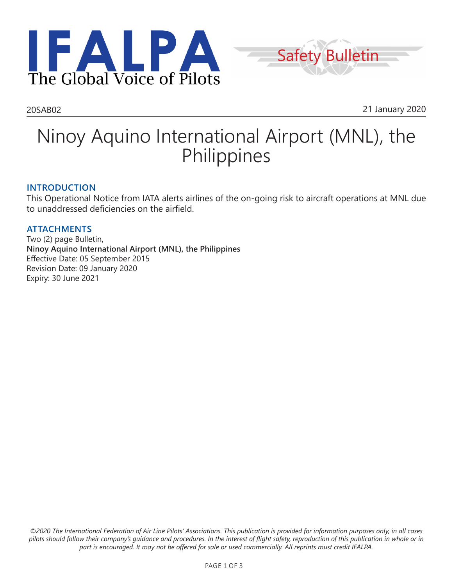



20SAB02 21 January 2020

# Ninoy Aquino International Airport (MNL), the Philippines

### **INTRODUCTION**

This Operational Notice from IATA alerts airlines of the on-going risk to aircraft operations at MNL due to unaddressed deficiencies on the airfield.

#### **ATTACHMENTS**

Two (2) page Bulletin, **Ninoy Aquino International Airport (MNL), the Philippines** Effective Date: 05 September 2015 Revision Date: 09 January 2020 Expiry: 30 June 2021

*©2020 The International Federation of Air Line Pilots' Associations. This publication is provided for information purposes only, in all cases pilots should follow their company's guidance and procedures. In the interest of flight safety, reproduction of this publication in whole or in part is encouraged. It may not be offered for sale or used commercially. All reprints must credit IFALPA.*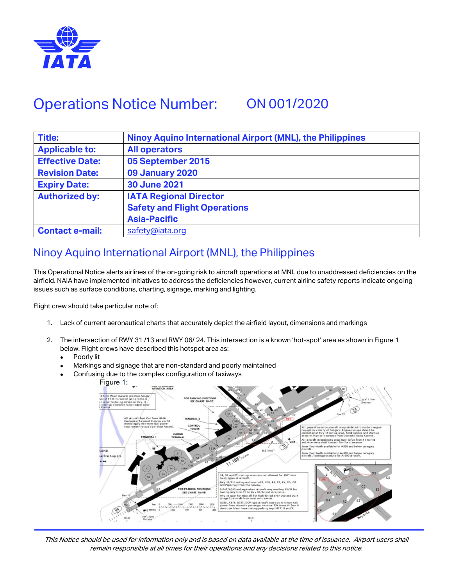

## Operations Notice Number: ON 001/2020

| <b>Title:</b>          | Ninoy Aquino International Airport (MNL), the Philippines |
|------------------------|-----------------------------------------------------------|
| <b>Applicable to:</b>  | <b>All operators</b>                                      |
| <b>Effective Date:</b> | 05 September 2015                                         |
| <b>Revision Date:</b>  | <b>09 January 2020</b>                                    |
| <b>Expiry Date:</b>    | <b>30 June 2021</b>                                       |
| <b>Authorized by:</b>  | <b>IATA Regional Director</b>                             |
|                        | <b>Safety and Flight Operations</b>                       |
|                        | <b>Asia-Pacific</b>                                       |
| <b>Contact e-mail:</b> | safety@iata.org                                           |

## Ninoy Aquino International Airport (MNL), the Philippines

This Operational Notice alerts airlines of the on-going risk to aircraft operations at MNL due to unaddressed deficiencies on the airfield. NAIA have implemented initiatives to address the deficiencies however, current airline safety reports indicate ongoing issues such as surface conditions, charting, signage, marking and lighting.

Flight crew should take particular note of:

- 1. Lack of current aeronautical charts that accurately depict the airfield layout, dimensions and markings
- 2. The intersection of RWY 31 /13 and RWY 06/ 24. This intersection is a known 'hot-spot' area as shown in Figure 1 below. Flight crews have described this hotspot area as:
	- Poorly lit
	- Markings and signage that are non-standard and poorly maintained
	- Confusing due to the complex configuration of taxiways
		- Figure 1: AVIATION AREA All a GEND to A-300 and below  $e/Strat$ .<br>SI, S2 and S7 stert-up an<br>toall\_types of aircraft. Rwy 13/31 landing and t<br>and Papa Twy from the r  $-747/$ A340 end equivelent 13/31 For  $\begin{array}{c} 123.41 \\ 1 \end{array}$

This Notice should be used for information only and is based on data available at the time of issuance. Airport users shall remain responsible at all times for their operations and any decisions related to this notice.